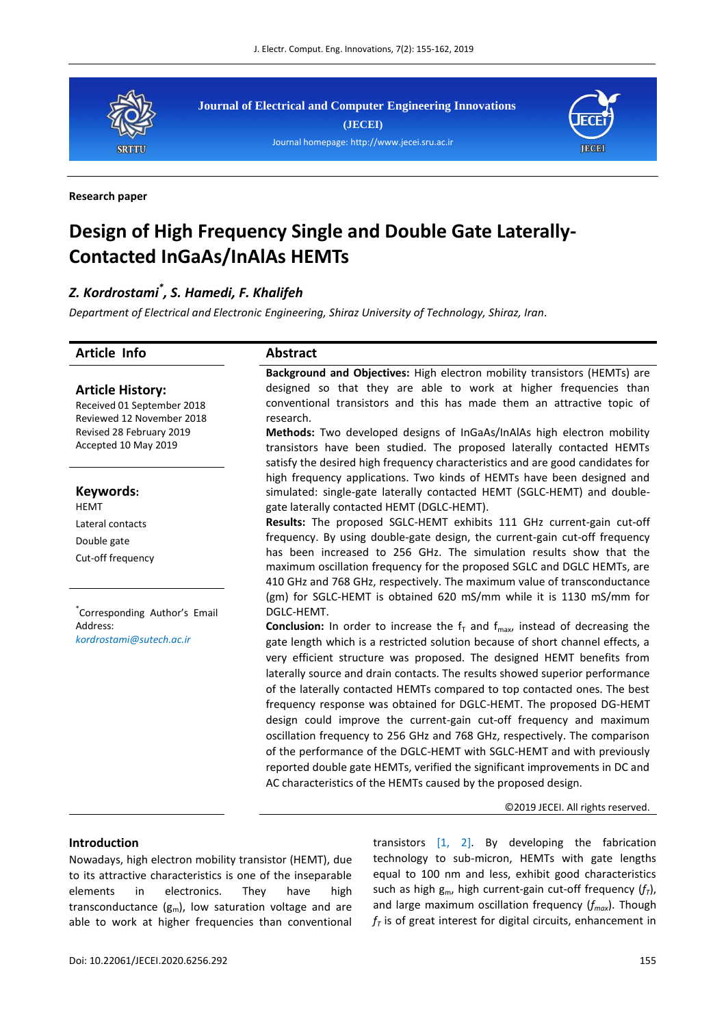

**Journal of Electrical and Computer Engineering Innovations (JECEI)** Journal homepage[: http://www.jecei.sru.ac.ir](http://jecei.sru.ac.ir/)



#### **Research paper**

# **Design of High Frequency Single and Double Gate Laterally-Contacted InGaAs/InAlAs HEMTs**

# *Z. Kordrostami\* , S. Hamedi, F. Khalifeh*

*Department of Electrical and Electronic Engineering, Shiraz University of Technology, Shiraz, Iran.*

| <b>Article Info</b>                                                                                                                    | <b>Abstract</b>                                                                                                                                                                                                                                                                                                                                                                                                                                                                                                                                                                                                                                                                                                                                                                                                                                                                                                                                              |
|----------------------------------------------------------------------------------------------------------------------------------------|--------------------------------------------------------------------------------------------------------------------------------------------------------------------------------------------------------------------------------------------------------------------------------------------------------------------------------------------------------------------------------------------------------------------------------------------------------------------------------------------------------------------------------------------------------------------------------------------------------------------------------------------------------------------------------------------------------------------------------------------------------------------------------------------------------------------------------------------------------------------------------------------------------------------------------------------------------------|
| <b>Article History:</b><br>Received 01 September 2018<br>Reviewed 12 November 2018<br>Revised 28 February 2019<br>Accepted 10 May 2019 | Background and Objectives: High electron mobility transistors (HEMTs) are<br>designed so that they are able to work at higher frequencies than<br>conventional transistors and this has made them an attractive topic of<br>research.<br>Methods: Two developed designs of InGaAs/InAlAs high electron mobility<br>transistors have been studied. The proposed laterally contacted HEMTs<br>satisfy the desired high frequency characteristics and are good candidates for                                                                                                                                                                                                                                                                                                                                                                                                                                                                                   |
| Keywords:<br><b>HEMT</b><br>Lateral contacts<br>Double gate<br>Cut-off frequency                                                       | high frequency applications. Two kinds of HEMTs have been designed and<br>simulated: single-gate laterally contacted HEMT (SGLC-HEMT) and double-<br>gate laterally contacted HEMT (DGLC-HEMT).<br>Results: The proposed SGLC-HEMT exhibits 111 GHz current-gain cut-off<br>frequency. By using double-gate design, the current-gain cut-off frequency<br>has been increased to 256 GHz. The simulation results show that the<br>maximum oscillation frequency for the proposed SGLC and DGLC HEMTs, are<br>410 GHz and 768 GHz, respectively. The maximum value of transconductance                                                                                                                                                                                                                                                                                                                                                                         |
| Corresponding Author's Email<br>Address:<br>kordrostami@sutech.ac.ir                                                                   | (gm) for SGLC-HEMT is obtained 620 mS/mm while it is 1130 mS/mm for<br>DGLC-HEMT.<br><b>Conclusion:</b> In order to increase the $fT$ and $fmax$ , instead of decreasing the<br>gate length which is a restricted solution because of short channel effects, a<br>very efficient structure was proposed. The designed HEMT benefits from<br>laterally source and drain contacts. The results showed superior performance<br>of the laterally contacted HEMTs compared to top contacted ones. The best<br>frequency response was obtained for DGLC-HEMT. The proposed DG-HEMT<br>design could improve the current-gain cut-off frequency and maximum<br>oscillation frequency to 256 GHz and 768 GHz, respectively. The comparison<br>of the performance of the DGLC-HEMT with SGLC-HEMT and with previously<br>reported double gate HEMTs, verified the significant improvements in DC and<br>AC characteristics of the HEMTs caused by the proposed design. |
|                                                                                                                                        | ©2019 JECEI. All rights reserved.                                                                                                                                                                                                                                                                                                                                                                                                                                                                                                                                                                                                                                                                                                                                                                                                                                                                                                                            |
|                                                                                                                                        |                                                                                                                                                                                                                                                                                                                                                                                                                                                                                                                                                                                                                                                                                                                                                                                                                                                                                                                                                              |

## **Introduction**

Nowadays, high electron mobility transistor (HEMT), due to its attractive characteristics is one of the inseparable elements in electronics. They have high transconductance  $(g_m)$ , low saturation voltage and are able to work at higher frequencies than conventional transistors  $[1, 2]$ . By developing the fabrication technology to sub-micron, HEMTs with gate lengths equal to 100 nm and less, exhibit good characteristics such as high  $g_m$ , high current-gain cut-off frequency  $(f_7)$ , and large maximum oscillation frequency (*fmax*). Though  $f<sub>T</sub>$  is of great interest for digital circuits, enhancement in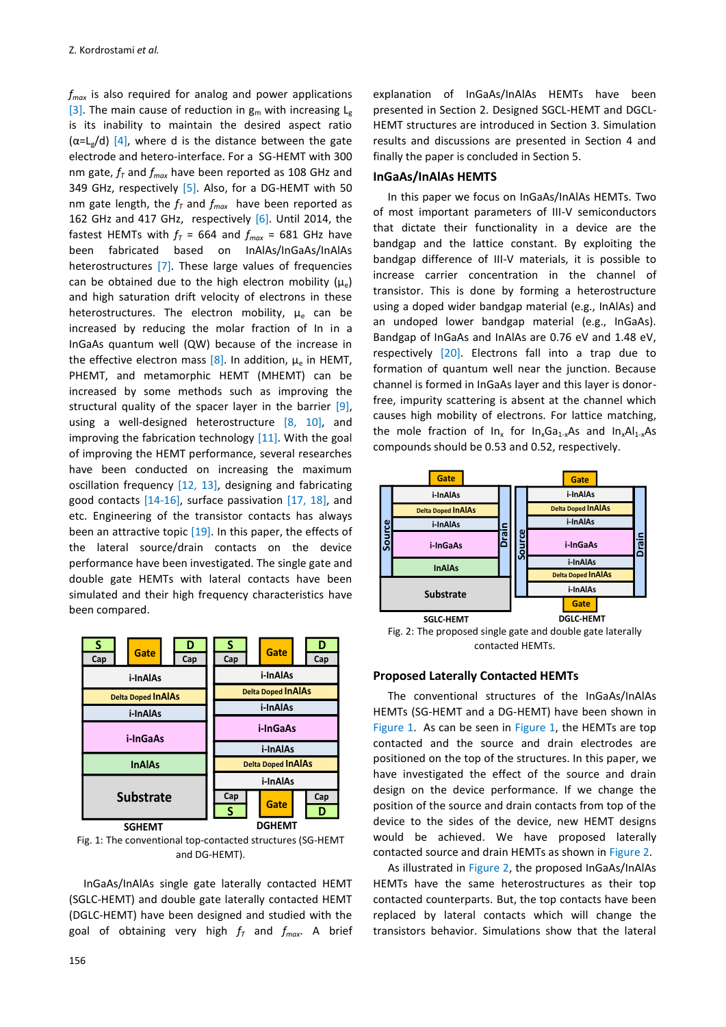*fmax* is also required for analog and power applications [3]. The main cause of reduction in  $g_m$  with increasing  $L_g$ is its inability to maintain the desired aspect ratio  $(\alpha = L_g/d)$  [4], where d is the distance between the gate electrode and hetero-interface. For a SG-HEMT with 300 nm gate,  $f<sub>T</sub>$  and  $f<sub>max</sub>$  have been reported as 108 GHz and 349 GHz, respectively [5]. Also, for a DG-HEMT with 50 nm gate length, the  $f<sub>T</sub>$  and  $f<sub>max</sub>$  have been reported as 162 GHz and 417 GHz, respectively [6]. Until 2014, the fastest HEMTs with  $f_T = 664$  and  $f_{max} = 681$  GHz have been fabricated based on InAlAs/InGaAs/InAlAs heterostructures [7]. These large values of frequencies can be obtained due to the high electron mobility  $(\mu_e)$ and high saturation drift velocity of electrons in these heterostructures. The electron mobility,  $\mu_{e}$  can be increased by reducing the molar fraction of In in a InGaAs quantum well (QW) because of the increase in the effective electron mass [8]. In addition,  $\mu_e$  in HEMT, PHEMT, and metamorphic HEMT (MHEMT) can be increased by some methods such as improving the structural quality of the spacer layer in the barrier [9], using a well-designed heterostructure [8, 10], and improving the fabrication technology [11]. With the goal of improving the HEMT performance, several researches have been conducted on increasing the maximum oscillation frequency [12, 13], designing and fabricating good contacts [14-16], surface passivation [17, 18], and etc. Engineering of the transistor contacts has always been an attractive topic [19]. In this paper, the effects of the lateral source/drain contacts on the device performance have been investigated. The single gate and double gate HEMTs with lateral contacts have been simulated and their high frequency characteristics have been compared.



Fig. 1: The conventional top-contacted structures (SG-HEMT and DG-HEMT).

InGaAs/InAlAs single gate laterally contacted HEMT (SGLC-HEMT) and double gate laterally contacted HEMT (DGLC-HEMT) have been designed and studied with the goal of obtaining very high  $f<sub>T</sub>$  and  $f<sub>max</sub>$ . A brief

explanation of InGaAs/InAlAs HEMTs have been presented in Section 2. Designed SGCL-HEMT and DGCL-HEMT structures are introduced in Section 3. Simulation results and discussions are presented in Section 4 and finally the paper is concluded in Section 5.

#### **InGaAs/InAlAs HEMTS**

In this paper we focus on InGaAs/InAlAs HEMTs. Two of most important parameters of III-V semiconductors that dictate their functionality in a device are the bandgap and the lattice constant. By exploiting the bandgap difference of III-V materials, it is possible to increase carrier concentration in the channel of transistor. This is done by forming a heterostructure using a doped wider bandgap material (e.g., InAlAs) and an undoped lower bandgap material (e.g., InGaAs). Bandgap of InGaAs and InAlAs are 0.76 eV and 1.48 eV, respectively [20]. Electrons fall into a trap due to formation of quantum well near the junction. Because channel is formed in InGaAs layer and this layer is donorfree, impurity scattering is absent at the channel which causes high mobility of electrons. For lattice matching, the mole fraction of  $In_x$  for  $In_xGa_{1-x}As$  and  $In_xAl_{1-x}As$ compounds should be 0.53 and 0.52, respectively.



Fig. 2: The proposed single gate and double gate laterally contacted HEMTs.

#### **Proposed Laterally Contacted HEMTs**

The conventional structures of the InGaAs/InAlAs HEMTs (SG-HEMT and a DG-HEMT) have been shown in Figure 1. As can be seen in Figure 1, the HEMTs are top contacted and the source and drain electrodes are positioned on the top of the structures. In this paper, we have investigated the effect of the source and drain design on the device performance. If we change the position of the source and drain contacts from top of the device to the sides of the device, new HEMT designs would be achieved. We have proposed laterally contacted source and drain HEMTs as shown in Figure 2.

As illustrated in Figure 2, the proposed InGaAs/InAlAs HEMTs have the same heterostructures as their top contacted counterparts. But, the top contacts have been replaced by lateral contacts which will change the transistors behavior. Simulations show that the lateral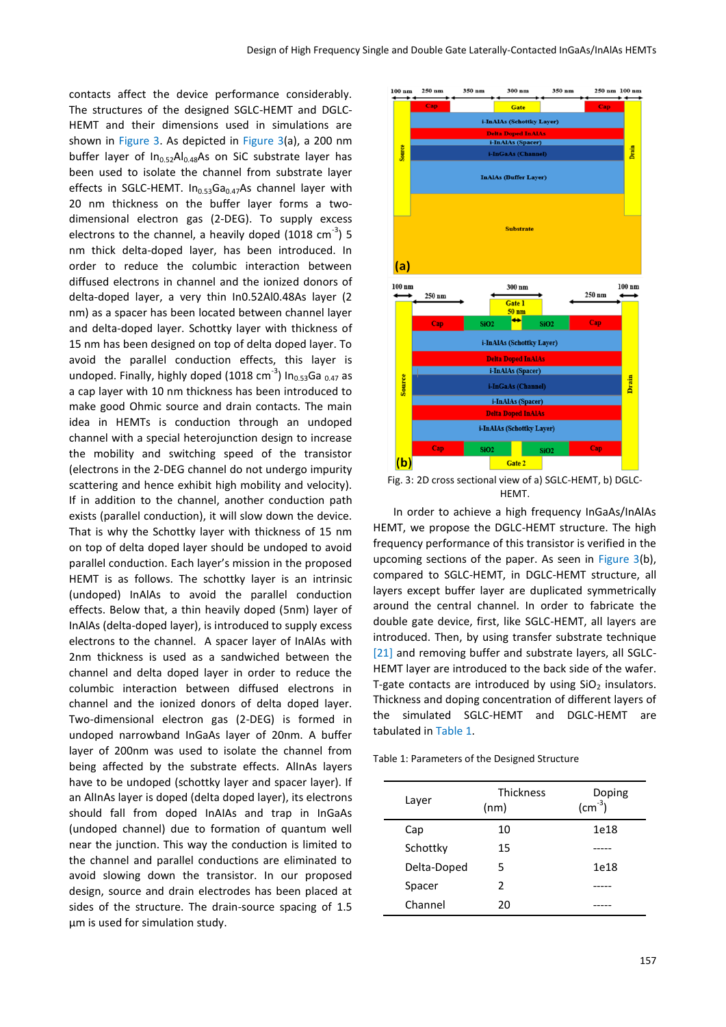contacts affect the device performance considerably. The structures of the designed SGLC-HEMT and DGLC-HEMT and their dimensions used in simulations are shown in Figure 3. As depicted in Figure 3(a), a 200 nm buffer layer of  $In_{0.52}Al_{0.48}As$  on SiC substrate layer has been used to isolate the channel from substrate layer effects in SGLC-HEMT.  $In_{0.53}Ga_{0.47}As$  channel layer with 20 nm thickness on the buffer layer forms a twodimensional electron gas (2-DEG). To supply excess electrons to the channel, a heavily doped (1018  $\text{cm}^{-3}$ ) 5 nm thick delta-doped layer, has been introduced. In order to reduce the columbic interaction between diffused electrons in channel and the ionized donors of delta-doped layer, a very thin In0.52Al0.48As layer (2 nm) as a spacer has been located between channel layer and delta-doped layer. Schottky layer with thickness of 15 nm has been designed on top of delta doped layer. To avoid the parallel conduction effects, this layer is undoped. Finally, highly doped (1018 cm<sup>-3</sup>) In<sub>0.53</sub>Ga <sub>0.47</sub> as a cap layer with 10 nm thickness has been introduced to make good Ohmic source and drain contacts. The main idea in HEMTs is conduction through an undoped channel with a special heterojunction design to increase the mobility and switching speed of the transistor (electrons in the 2-DEG channel do not undergo impurity scattering and hence exhibit high mobility and velocity). If in addition to the channel, another conduction path exists (parallel conduction), it will slow down the device. That is why the Schottky layer with thickness of 15 nm on top of delta doped layer should be undoped to avoid parallel conduction. Each layer's mission in the proposed HEMT is as follows. The schottky layer is an intrinsic (undoped) InAlAs to avoid the parallel conduction effects. Below that, a thin heavily doped (5nm) layer of InAlAs (delta-doped layer), is introduced to supply excess electrons to the channel. A spacer layer of InAlAs with 2nm thickness is used as a sandwiched between the channel and delta doped layer in order to reduce the columbic interaction between diffused electrons in channel and the ionized donors of delta doped layer. Two-dimensional electron gas (2-DEG) is formed in undoped narrowband InGaAs layer of 20nm. A buffer layer of 200nm was used to isolate the channel from being affected by the substrate effects. AlInAs layers have to be undoped (schottky layer and spacer layer). If an AlInAs layer is doped (delta doped layer), its electrons should fall from doped InAIAs and trap in InGaAs (undoped channel) due to formation of quantum well near the junction. This way the conduction is limited to the channel and parallel conductions are eliminated to avoid slowing down the transistor. In our proposed design, source and drain electrodes has been placed at sides of the structure. The drain-source spacing of 1.5 μm is used for simulation study.



Fig. 3: 2D cross sectional view of a) SGLC-HEMT, b) DGLC-HEMT.

 In order to achieve a high frequency InGaAs/InAlAs HEMT, we propose the DGLC-HEMT structure. The high frequency performance of this transistor is verified in the upcoming sections of the paper. As seen in Figure 3(b), compared to SGLC-HEMT, in DGLC-HEMT structure, all layers except buffer layer are duplicated symmetrically around the central channel. In order to fabricate the double gate device, first, like SGLC-HEMT, all layers are introduced. Then, by using transfer substrate technique [21] and removing buffer and substrate layers, all SGLC-HEMT layer are introduced to the back side of the wafer. T-gate contacts are introduced by using  $SiO<sub>2</sub>$  insulators. Thickness and doping concentration of different layers of the simulated SGLC-HEMT and DGLC-HEMT are tabulated in Table 1.

Table 1: Parameters of the Designed Structure

| Layer       | <b>Thickness</b><br>(nm) | Doping<br>$\text{(cm}^{-3}\text{)}$ |
|-------------|--------------------------|-------------------------------------|
| Cap         | 10                       | 1e18                                |
| Schottky    | 15                       |                                     |
| Delta-Doped | 5                        | 1e18                                |
| Spacer      | 2                        |                                     |
| Channel     | 20                       |                                     |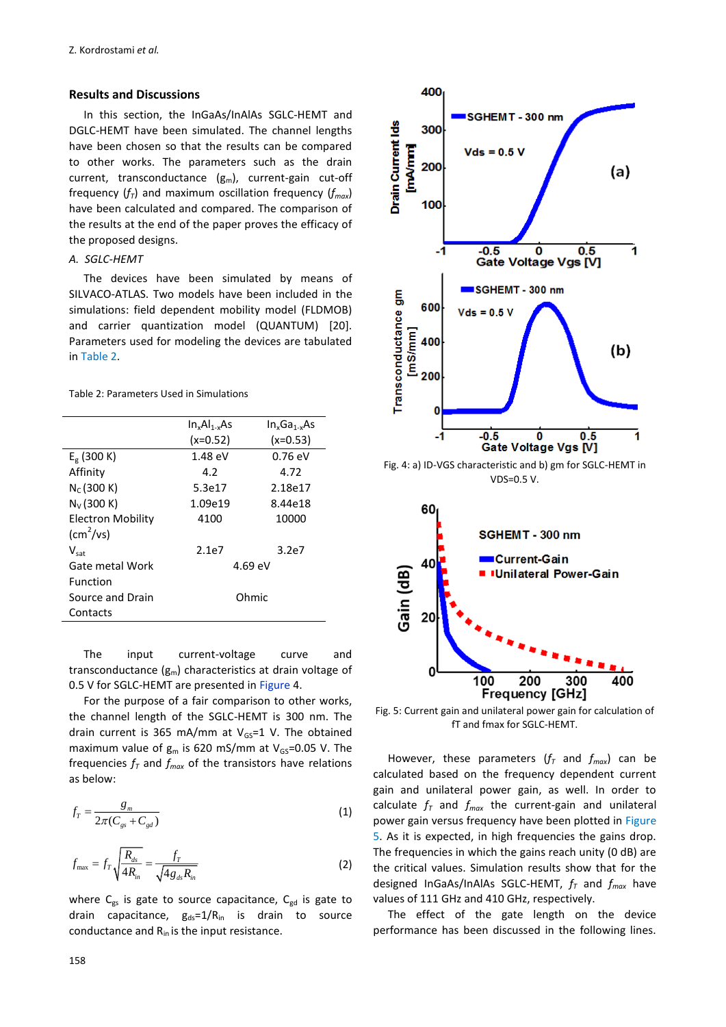# **Results and Discussions**

In this section, the InGaAs/InAlAs SGLC-HEMT and DGLC-HEMT have been simulated. The channel lengths have been chosen so that the results can be compared to other works. The parameters such as the drain current, transconductance  $(g_m)$ , current-gain cut-off frequency (*fT*) and maximum oscillation frequency (*fmax*) have been calculated and compared. The comparison of the results at the end of the paper proves the efficacy of the proposed designs.

# *A. SGLC-HEMT*

The devices have been simulated by means of SILVACO-ATLAS. Two models have been included in the simulations: field dependent mobility model (FLDMOB) and carrier quantization model (QUANTUM) [20]. Parameters used for modeling the devices are tabulated in Table 2.

Table 2: Parameters Used in Simulations

|                           | $In_xAl_{1-x}As$  | $In_xGa_{1-x}As$  |  |
|---------------------------|-------------------|-------------------|--|
|                           | $(x=0.52)$        | $(x=0.53)$        |  |
| $E_g$ (300 K)             | $1.48 \text{ eV}$ | $0.76 \text{ eV}$ |  |
| Affinity                  | 4.2               | 4.72              |  |
| $N_c(300 K)$              | 5.3e17            | 2.18e17           |  |
| $N_{V}$ (300 K)           | 1.09e19           | 8.44e18           |  |
| Electron Mobility         | 4100              | 10000             |  |
| $\text{(cm}^2\text{/vs)}$ |                   |                   |  |
| $V_{\text{sat}}$          | 2.1e7             | 3.2e7             |  |
| Gate metal Work           |                   | $4.69 \text{ eV}$ |  |
| Function                  |                   |                   |  |
| Source and Drain          |                   | Ohmic             |  |
| Contacts                  |                   |                   |  |

The input current-voltage curve and transconductance  $(g_m)$  characteristics at drain voltage of 0.5 V for SGLC-HEMT are presented in Figure 4.

For the purpose of a fair comparison to other works, the channel length of the SGLC-HEMT is 300 nm. The drain current is 365 mA/mm at  $V_{GS}=1$  V. The obtained maximum value of  $g_m$  is 620 mS/mm at  $V_{GS}=0.05$  V. The frequencies  $f<sub>T</sub>$  and  $f<sub>max</sub>$  of the transistors have relations as below:

$$
f_T = \frac{g_m}{2\pi (C_{gs} + C_{gd})}
$$
\n<sup>(1)</sup>

$$
f_{\text{max}} = f_T \sqrt{\frac{R_{ds}}{4R_{in}}} = \frac{f_T}{\sqrt{4g_{ds}R_{in}}}
$$
(2)

where  $C_{gs}$  is gate to source capacitance,  $C_{gd}$  is gate to drain capacitance,  $g_{ds} = 1/R_{in}$  is drain to source conductance and  $R_{in}$  is the input resistance.



Fig. 4: a) ID-VGS characteristic and b) gm for SGLC-HEMT in VDS=0.5 V.



Fig. 5: Current gain and unilateral power gain for calculation of fT and fmax for SGLC-HEMT.

However, these parameters  $(f<sub>T</sub>$  and  $f<sub>max</sub>)$  can be calculated based on the frequency dependent current gain and unilateral power gain, as well. In order to calculate  $f_T$  and  $f_{max}$  the current-gain and unilateral power gain versus frequency have been plotted in Figure 5. As it is expected, in high frequencies the gains drop. The frequencies in which the gains reach unity (0 dB) are the critical values. Simulation results show that for the designed InGaAs/InAlAs SGLC-HEMT, *f<sup>T</sup>* and *fmax* have values of 111 GHz and 410 GHz, respectively.

The effect of the gate length on the device performance has been discussed in the following lines.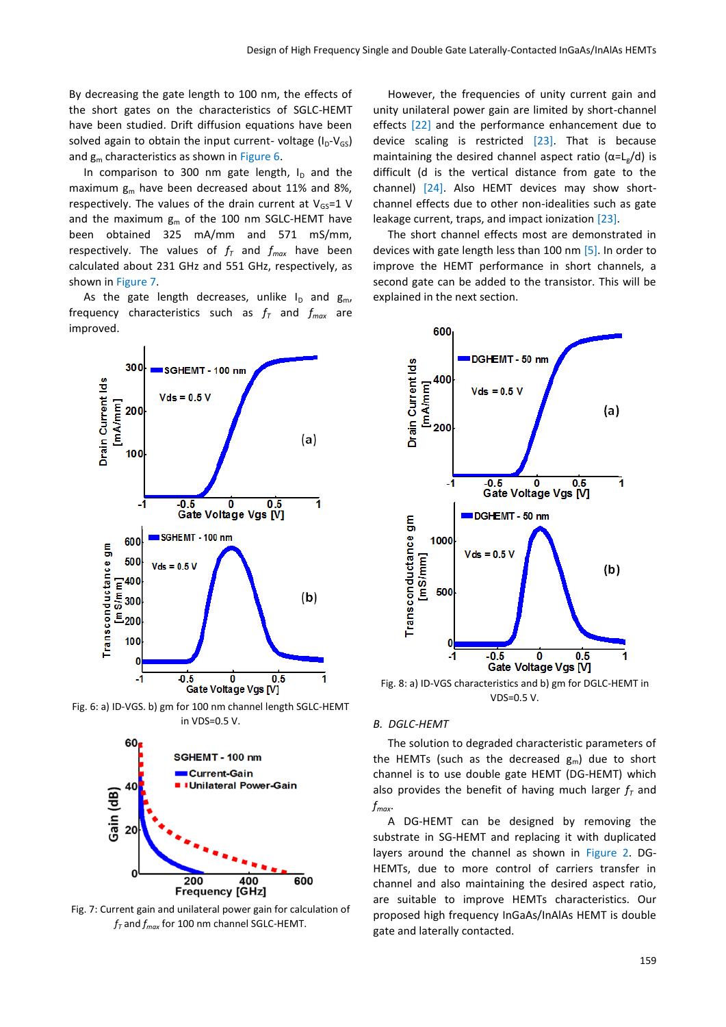By decreasing the gate length to 100 nm, the effects of the short gates on the characteristics of SGLC-HEMT have been studied. Drift diffusion equations have been solved again to obtain the input current- voltage  $(I_D-V_{GS})$ and  $g_m$  characteristics as shown in Figure 6.

In comparison to 300 nm gate length,  $I_D$  and the maximum  $g_m$  have been decreased about 11% and 8%, respectively. The values of the drain current at  $V_{GS}=1$  V and the maximum  $g_m$  of the 100 nm SGLC-HEMT have been obtained 325 mA/mm and 571 mS/mm, respectively. The values of  $f<sub>T</sub>$  and  $f<sub>max</sub>$  have been calculated about 231 GHz and 551 GHz, respectively, as shown in Figure 7.

As the gate length decreases, unlike  $I_D$  and  $g_m$ , frequency characteristics such as  $f<sub>T</sub>$  and  $f<sub>max</sub>$  are improved.



Fig. 6: a) ID-VGS. b) gm for 100 nm channel length SGLC-HEMT in VDS=0.5 V.



Fig. 7: Current gain and unilateral power gain for calculation of *f<sup>T</sup>* and *fmax* for 100 nm channel SGLC-HEMT.

However, the frequencies of unity current gain and unity unilateral power gain are limited by short-channel effects [22] and the performance enhancement due to device scaling is restricted [23]. That is because maintaining the desired channel aspect ratio ( $\alpha = L_g/d$ ) is difficult (d is the vertical distance from gate to the channel) [24]. Also HEMT devices may show shortchannel effects due to other non-idealities such as gate leakage current, traps, and impact ionization [23].

The short channel effects most are demonstrated in devices with gate length less than 100 nm [5]. In order to improve the HEMT performance in short channels, a second gate can be added to the transistor. This will be explained in the next section.



Fig. 8: a) ID-VGS characteristics and b) gm for DGLC-HEMT in VDS=0.5 V.

#### *B. DGLC-HEMT*

The solution to degraded characteristic parameters of the HEMTs (such as the decreased  $g_m$ ) due to short channel is to use double gate HEMT (DG-HEMT) which also provides the benefit of having much larger  $f<sub>T</sub>$  and *fmax*.

A DG-HEMT can be designed by removing the substrate in SG-HEMT and replacing it with duplicated layers around the channel as shown in Figure 2. DG-HEMTs, due to more control of carriers transfer in channel and also maintaining the desired aspect ratio, are suitable to improve HEMTs characteristics. Our proposed high frequency InGaAs/InAlAs HEMT is double gate and laterally contacted.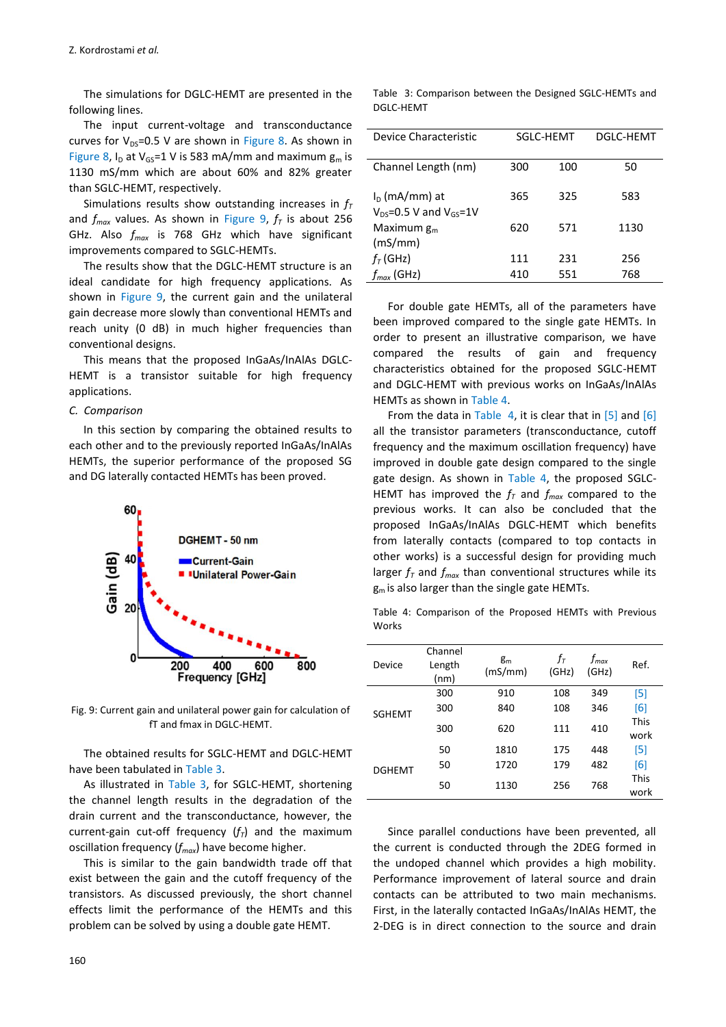The simulations for DGLC-HEMT are presented in the following lines.

The input current-voltage and transconductance curves for  $V_{DS}=0.5$  V are shown in Figure 8. As shown in Figure 8,  $I_D$  at  $V_{GS}$ =1 V is 583 mA/mm and maximum  $g_m$  is 1130 mS/mm which are about 60% and 82% greater than SGLC-HEMT, respectively.

Simulations results show outstanding increases in *f<sup>T</sup>* and *fmax* values. As shown in Figure 9, *f<sup>T</sup>* is about 256 GHz. Also *fmax* is 768 GHz which have significant improvements compared to SGLC-HEMTs.

The results show that the DGLC-HEMT structure is an ideal candidate for high frequency applications. As shown in Figure 9, the current gain and the unilateral gain decrease more slowly than conventional HEMTs and reach unity (0 dB) in much higher frequencies than conventional designs.

This means that the proposed InGaAs/InAlAs DGLC-HEMT is a transistor suitable for high frequency applications.

#### *C. Comparison*

In this section by comparing the obtained results to each other and to the previously reported InGaAs/InAlAs HEMTs, the superior performance of the proposed SG and DG laterally contacted HEMTs has been proved.



Fig. 9: Current gain and unilateral power gain for calculation of fT and fmax in DGLC-HEMT.

The obtained results for SGLC-HEMT and DGLC-HEMT have been tabulated in Table 3.

As illustrated in Table 3, for SGLC-HEMT, shortening the channel length results in the degradation of the drain current and the transconductance, however, the current-gain cut-off frequency  $(f<sub>T</sub>)$  and the maximum oscillation frequency (*fmax*) have become higher.

This is similar to the gain bandwidth trade off that exist between the gain and the cutoff frequency of the transistors. As discussed previously, the short channel effects limit the performance of the HEMTs and this problem can be solved by using a double gate HEMT.

| SGLC-HEMT |            | DGLC-HEMT  |
|-----------|------------|------------|
|           |            |            |
| 300       | 100        | 50         |
|           |            |            |
|           |            | 583        |
|           |            |            |
|           |            |            |
| 620       | 571        | 1130       |
|           |            |            |
|           |            |            |
|           |            | 256        |
| 410       | 551        | 768        |
|           | 365<br>111 | 325<br>231 |

For double gate HEMTs, all of the parameters have been improved compared to the single gate HEMTs. In order to present an illustrative comparison, we have compared the results of gain and frequency characteristics obtained for the proposed SGLC-HEMT and DGLC-HEMT with previous works on InGaAs/InAlAs HEMTs as shown in Table 4.

From the data in Table 4, it is clear that in  $[5]$  and  $[6]$ all the transistor parameters (transconductance, cutoff frequency and the maximum oscillation frequency) have improved in double gate design compared to the single gate design. As shown in Table 4, the proposed SGLC-HEMT has improved the  $f<sub>T</sub>$  and  $f<sub>max</sub>$  compared to the previous works. It can also be concluded that the proposed InGaAs/InAlAs DGLC-HEMT which benefits from laterally contacts (compared to top contacts in other works) is a successful design for providing much larger  $f<sub>T</sub>$  and  $f<sub>max</sub>$  than conventional structures while its  $g<sub>m</sub>$  is also larger than the single gate HEMTs.

Table 4: Comparison of the Proposed HEMTs with Previous Works

|               | Channel        |                  |             |                    |                     |
|---------------|----------------|------------------|-------------|--------------------|---------------------|
| Device        | Length<br>(nm) | $g_m$<br>(mS/mm) | fт<br>(GHz) | $f_{max}$<br>(GHz) | Ref.                |
|               | 300            | 910              | 108         | 349                | [5]                 |
| <b>SGHEMT</b> | 300            | 840              | 108         | 346                | [6]                 |
|               | 300            | 620              | 111         | 410                | <b>This</b><br>work |
|               | 50             | 1810             | 175         | 448                | [5]                 |
| <b>DGHEMT</b> | 50             | 1720             | 179         | 482                | [6]                 |
|               | 50             | 1130             | 256         | 768                | <b>This</b><br>work |

Since parallel conductions have been prevented, all the current is conducted through the 2DEG formed in the undoped channel which provides a high mobility. Performance improvement of lateral source and drain contacts can be attributed to two main mechanisms. First, in the laterally contacted InGaAs/InAlAs HEMT, the 2-DEG is in direct connection to the source and drain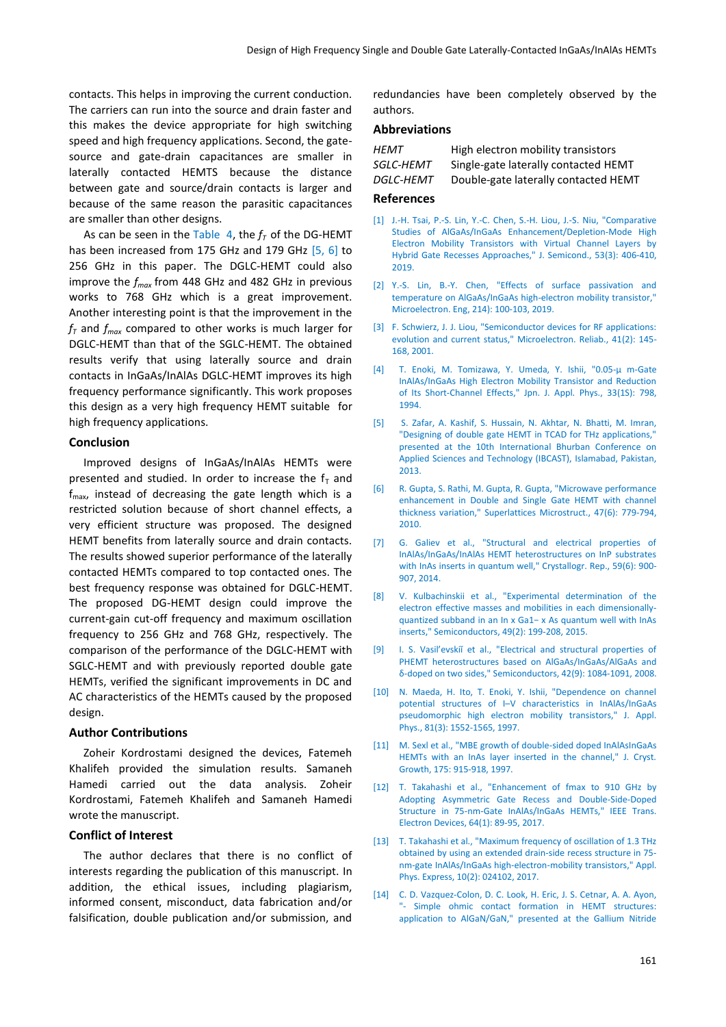contacts. This helps in improving the current conduction. The carriers can run into the source and drain faster and this makes the device appropriate for high switching speed and high frequency applications. Second, the gatesource and gate-drain capacitances are smaller in laterally contacted HEMTS because the distance between gate and source/drain contacts is larger and because of the same reason the parasitic capacitances are smaller than other designs.

As can be seen in the Table 4, the  $f<sub>T</sub>$  of the DG-HEMT has been increased from 175 GHz and 179 GHz [5, 6] to 256 GHz in this paper. The DGLC-HEMT could also improve the *fmax* from 448 GHz and 482 GHz in previous works to 768 GHz which is a great improvement. Another interesting point is that the improvement in the  $f<sub>T</sub>$  and  $f<sub>max</sub>$  compared to other works is much larger for DGLC-HEMT than that of the SGLC-HEMT. The obtained results verify that using laterally source and drain contacts in InGaAs/InAlAs DGLC-HEMT improves its high frequency performance significantly. This work proposes this design as a very high frequency HEMT suitable for high frequency applications.

#### **Conclusion**

Improved designs of InGaAs/InAlAs HEMTs were presented and studied. In order to increase the  $f<sub>T</sub>$  and  $f_{\text{max}}$  instead of decreasing the gate length which is a restricted solution because of short channel effects, a very efficient structure was proposed. The designed HEMT benefits from laterally source and drain contacts. The results showed superior performance of the laterally contacted HEMTs compared to top contacted ones. The best frequency response was obtained for DGLC-HEMT. The proposed DG-HEMT design could improve the current-gain cut-off frequency and maximum oscillation frequency to 256 GHz and 768 GHz, respectively. The comparison of the performance of the DGLC-HEMT with SGLC-HEMT and with previously reported double gate HEMTs, verified the significant improvements in DC and AC characteristics of the HEMTs caused by the proposed design.

#### **Author Contributions**

Zoheir Kordrostami designed the devices, Fatemeh Khalifeh provided the simulation results. Samaneh Hamedi carried out the data analysis. Zoheir Kordrostami, Fatemeh Khalifeh and Samaneh Hamedi wrote the manuscript.

# **Conflict of Interest**

The author declares that there is no conflict of interests regarding the publication of this manuscript. In addition, the ethical issues, including plagiarism, informed consent, misconduct, data fabrication and/or falsification, double publication and/or submission, and redundancies have been completely observed by the authors.

#### **Abbreviations**

| HEMT      | High electron mobility transistors   |
|-----------|--------------------------------------|
| SGLC-HEMT | Single-gate laterally contacted HEMT |
| DGLC-HEMT | Double-gate laterally contacted HEMT |

#### **References**

- [1] [J.-H. Tsai, P.-S. Lin, Y.-C. Chen, S.-H. Liou, J.-S. Niu, "Comparative](https://link.springer.com/article/10.1134%2FS1063782619030187)  [Studies of AlGaAs/InGaAs Enhancement/Depletion-Mode High](https://link.springer.com/article/10.1134%2FS1063782619030187)  [Electron Mobility Transistors with Virtual Channel Layers by](https://link.springer.com/article/10.1134%2FS1063782619030187)  [Hybrid Gate Recesses Approaches,"](https://link.springer.com/article/10.1134%2FS1063782619030187) J. Semicond., 53(3): 406-410, [2019.](https://link.springer.com/article/10.1134%2FS1063782619030187)
- [2] [Y.-S. Lin, B.-Y. Chen, "Effects of surface passivation and](https://www.sciencedirect.com/science/article/abs/pii/S0167931718304489?via%3Dihub)  [temperature on AlGaAs/InGaAs high-electron mobility transistor,"](https://www.sciencedirect.com/science/article/abs/pii/S0167931718304489?via%3Dihub)  [Microelectron. Eng, 214\):](https://www.sciencedirect.com/science/article/abs/pii/S0167931718304489?via%3Dihub) 100-103, 2019.
- [3] [F. Schwierz, J. J. Liou, "Semiconductor devices for RF applications:](https://www.sciencedirect.com/science/article/abs/pii/S0026271400000767)  [evolution and current status," Microelectron. Reliab., 41\(2\):](https://www.sciencedirect.com/science/article/abs/pii/S0026271400000767) 145- [168, 2001.](https://www.sciencedirect.com/science/article/abs/pii/S0026271400000767)
- [4] [T. Enoki, M. Tomizawa, Y. Umeda, Y. Ishii, "0.05-µ m-Gate](https://iopscience.iop.org/article/10.1143/JJAP.33.798)  [InAlAs/InGaAs High Electron Mobility Transistor and Reduction](https://iopscience.iop.org/article/10.1143/JJAP.33.798)  [of Its Short-Channel Effects,"](https://iopscience.iop.org/article/10.1143/JJAP.33.798) Jpn. J. Appl. Phys., 33(1S): 798, [1994.](https://iopscience.iop.org/article/10.1143/JJAP.33.798)
- [5] [S. Zafar, A. Kashif, S. Hussain, N. Akhtar, N. Bhatti, M. Imran,](https://ieeexplore.ieee.org/document/6512189)  ["Designing of double gate HEMT in TCAD for THz applications,"](https://ieeexplore.ieee.org/document/6512189)  [presented at the 10th International Bhurban Conference on](https://ieeexplore.ieee.org/document/6512189)  [Applied Sciences and Technology \(IBCAST\), Islamabad, Pakistan,](https://ieeexplore.ieee.org/document/6512189)  [2013.](https://ieeexplore.ieee.org/document/6512189)
- [6] [R. Gupta, S. Rathi, M. Gupta, R. Gupta, "Microwave performance](https://www.sciencedirect.com/science/article/abs/pii/S0749603610000510)  [enhancement in Double and Single Gate HEMT with channel](https://www.sciencedirect.com/science/article/abs/pii/S0749603610000510)  [thickness variation," Superlattices Microstruct., 47\(6\):](https://www.sciencedirect.com/science/article/abs/pii/S0749603610000510) 779-794, [2010.](https://www.sciencedirect.com/science/article/abs/pii/S0749603610000510)
- [7] [G. Galiev et al., "Structural and electrical properties of](https://link.springer.com/article/10.1134/S1063774514060108)  [InAlAs/InGaAs/InAlAs HEMT heterostructures on InP substrates](https://link.springer.com/article/10.1134/S1063774514060108)  [with InAs inserts in quantum well," Crystallogr. Rep., 59\(6\):](https://link.springer.com/article/10.1134/S1063774514060108) 900- [907, 2014.](https://link.springer.com/article/10.1134/S1063774514060108)
- [8] [V. Kulbachinskii et al., "Experimental determination](https://link.springer.com/article/10.1134%2FS1063782615020165) of the [electron effective masses and mobilities in each dimensionally](https://link.springer.com/article/10.1134%2FS1063782615020165)[quantized subband in an In x Ga1− x As quantum well with InAs](https://link.springer.com/article/10.1134%2FS1063782615020165)  [inserts," Semiconductors, 49\(2\):](https://link.springer.com/article/10.1134%2FS1063782615020165) 199-208, 2015.
- [9] I. S. Vasil'evskiı̆ et al., "Electrical and structural properties of [PHEMT heterostructures based on AlGaAs/InGaAs/AlGaAs and](https://link.springer.com/article/10.1134/S1063782608090145)  δ[-doped on two sides," Semiconductors, 42\(9\):](https://link.springer.com/article/10.1134/S1063782608090145) 1084-1091, 2008.
- [10] N. Maeda, H. Ito, T. Enoki, Y. Ishii, "Dependence on channel potential structures of I–[V characteristics in InAlAs/InGaAs](https://aip.scitation.org/doi/10.1063/1.363891)  [pseudomorphic high electron mobility transistors," J. Appl.](https://aip.scitation.org/doi/10.1063/1.363891)  Phys., 81(3): [1552-1565, 1997.](https://aip.scitation.org/doi/10.1063/1.363891)
- [11] [M. Sexl et al., "MBE growth of double-sided doped InAlAsInGaAs](https://www.sciencedirect.com/science/article/pii/S0022024896012031)  [HEMTs with an InAs layer inserted in the channel," J. Cryst.](https://www.sciencedirect.com/science/article/pii/S0022024896012031)  Growth, 175: [915-918, 1997.](https://www.sciencedirect.com/science/article/pii/S0022024896012031)
- [12] [T. Takahashi et al., "Enhancement of fmax to 910 GHz by](https://ieeexplore.ieee.org/document/7747517)  [Adopting Asymmetric Gate Recess and Double-Side-Doped](https://ieeexplore.ieee.org/document/7747517)  [Structure in 75-nm-Gate InAlAs/InGaAs HEMTs," IEEE Trans.](https://ieeexplore.ieee.org/document/7747517)  [Electron Devices, 64\(1\):](https://ieeexplore.ieee.org/document/7747517) 89-95, 2017.
- [13] [T. Takahashi et al., "Maximum frequency of oscillation of 1.3 THz](https://iopscience.iop.org/article/10.7567/APEX.10.024102)  [obtained by using an extended drain-side recess structure in 75](https://iopscience.iop.org/article/10.7567/APEX.10.024102) [nm-gate InAlAs/InGaAs high-electron-mobility transistors," Appl.](https://iopscience.iop.org/article/10.7567/APEX.10.024102)  [Phys. Express, 10\(2\): 024102, 2017.](https://iopscience.iop.org/article/10.7567/APEX.10.024102)
- [14] [C. D. Vazquez-Colon, D. C. Look, H. Eric,](https://www.spiedigitallibrary.org/conference-proceedings-of-spie/10918/1091819/Simple-ohmic-contact-formation-in-HEMT-structures--application-to/10.1117/12.2510348.short?SSO=1) J. S. Cetnar, A. A. Ayon, "- [Simple ohmic contact formation in HEMT structures:](https://www.spiedigitallibrary.org/conference-proceedings-of-spie/10918/1091819/Simple-ohmic-contact-formation-in-HEMT-structures--application-to/10.1117/12.2510348.short?SSO=1)  [application to AlGaN/GaN," presented at the Gallium Nitride](https://www.spiedigitallibrary.org/conference-proceedings-of-spie/10918/1091819/Simple-ohmic-contact-formation-in-HEMT-structures--application-to/10.1117/12.2510348.short?SSO=1)